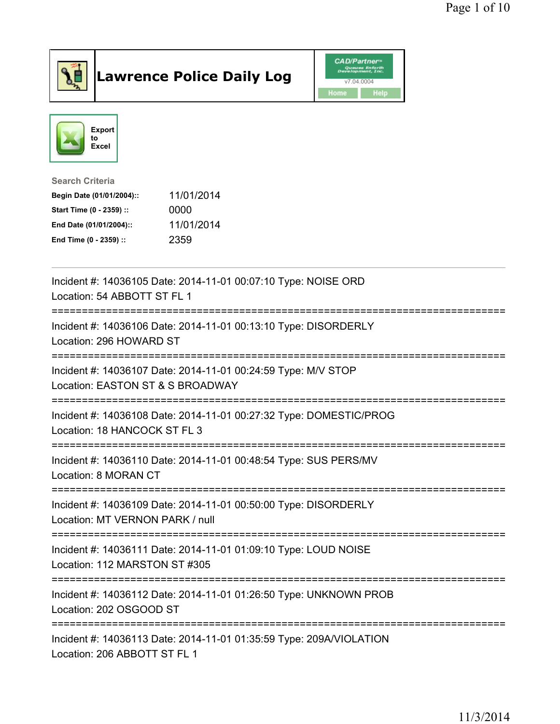

## Lawrence Police Daily Log **Daniel CAD/Partner**





Search Criteria Begin Date (01/01/2004):: 11/01/2014 Start Time (0 - 2359) :: 0000 End Date (01/01/2004):: 11/01/2014

End Time (0 - 2359) :: 2359

| Incident #: 14036105 Date: 2014-11-01 00:07:10 Type: NOISE ORD<br>Location: 54 ABBOTT ST FL 1<br>===================================== |
|----------------------------------------------------------------------------------------------------------------------------------------|
| Incident #: 14036106 Date: 2014-11-01 00:13:10 Type: DISORDERLY<br>Location: 296 HOWARD ST                                             |
| Incident #: 14036107 Date: 2014-11-01 00:24:59 Type: M/V STOP<br>Location: EASTON ST & S BROADWAY                                      |
| Incident #: 14036108 Date: 2014-11-01 00:27:32 Type: DOMESTIC/PROG<br>Location: 18 HANCOCK ST FL 3                                     |
| Incident #: 14036110 Date: 2014-11-01 00:48:54 Type: SUS PERS/MV<br>Location: 8 MORAN CT<br>;====================================      |
| Incident #: 14036109 Date: 2014-11-01 00:50:00 Type: DISORDERLY<br>Location: MT VERNON PARK / null                                     |
| Incident #: 14036111 Date: 2014-11-01 01:09:10 Type: LOUD NOISE<br>Location: 112 MARSTON ST #305                                       |
| Incident #: 14036112 Date: 2014-11-01 01:26:50 Type: UNKNOWN PROB<br>Location: 202 OSGOOD ST                                           |
| Incident #: 14036113 Date: 2014-11-01 01:35:59 Type: 209A/VIOLATION<br>Location: 206 ABBOTT ST FL 1                                    |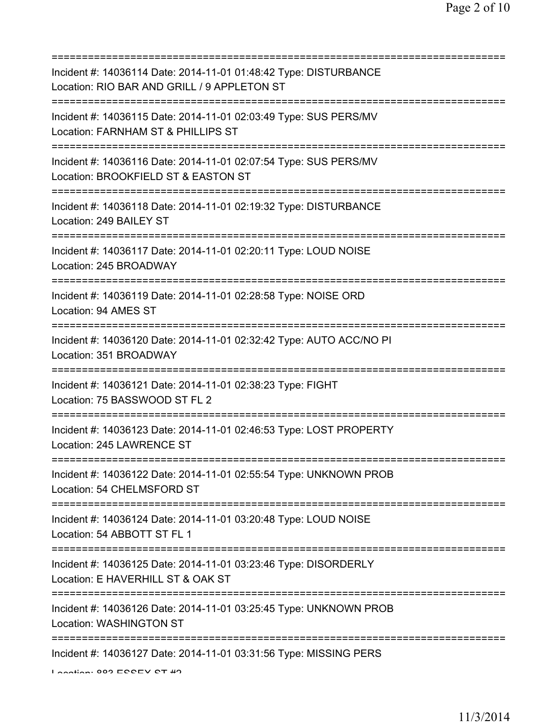| Incident #: 14036114 Date: 2014-11-01 01:48:42 Type: DISTURBANCE<br>Location: RIO BAR AND GRILL / 9 APPLETON ST                    |
|------------------------------------------------------------------------------------------------------------------------------------|
| Incident #: 14036115 Date: 2014-11-01 02:03:49 Type: SUS PERS/MV<br>Location: FARNHAM ST & PHILLIPS ST                             |
| Incident #: 14036116 Date: 2014-11-01 02:07:54 Type: SUS PERS/MV<br>Location: BROOKFIELD ST & EASTON ST                            |
| Incident #: 14036118 Date: 2014-11-01 02:19:32 Type: DISTURBANCE<br>Location: 249 BAILEY ST                                        |
| Incident #: 14036117 Date: 2014-11-01 02:20:11 Type: LOUD NOISE<br>Location: 245 BROADWAY<br>===================================== |
| Incident #: 14036119 Date: 2014-11-01 02:28:58 Type: NOISE ORD<br>Location: 94 AMES ST                                             |
| Incident #: 14036120 Date: 2014-11-01 02:32:42 Type: AUTO ACC/NO PI<br>Location: 351 BROADWAY                                      |
| Incident #: 14036121 Date: 2014-11-01 02:38:23 Type: FIGHT<br>Location: 75 BASSWOOD ST FL 2                                        |
| Incident #: 14036123 Date: 2014-11-01 02:46:53 Type: LOST PROPERTY<br>Location: 245 LAWRENCE ST                                    |
| Incident #: 14036122 Date: 2014-11-01 02:55:54 Type: UNKNOWN PROB<br>Location: 54 CHELMSFORD ST                                    |
| Incident #: 14036124 Date: 2014-11-01 03:20:48 Type: LOUD NOISE<br>Location: 54 ABBOTT ST FL 1                                     |
| Incident #: 14036125 Date: 2014-11-01 03:23:46 Type: DISORDERLY<br>Location: E HAVERHILL ST & OAK ST                               |
| Incident #: 14036126 Date: 2014-11-01 03:25:45 Type: UNKNOWN PROB<br>Location: WASHINGTON ST                                       |
| Incident #: 14036127 Date: 2014-11-01 03:31:56 Type: MISSING PERS                                                                  |

Location: 883 ECCEV CT #2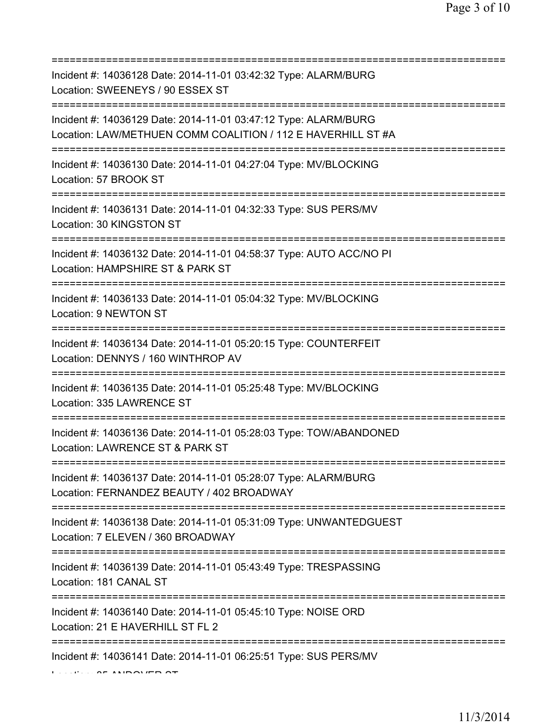| Incident #: 14036128 Date: 2014-11-01 03:42:32 Type: ALARM/BURG<br>Location: SWEENEYS / 90 ESSEX ST                             |
|---------------------------------------------------------------------------------------------------------------------------------|
| Incident #: 14036129 Date: 2014-11-01 03:47:12 Type: ALARM/BURG<br>Location: LAW/METHUEN COMM COALITION / 112 E HAVERHILL ST #A |
| Incident #: 14036130 Date: 2014-11-01 04:27:04 Type: MV/BLOCKING<br>Location: 57 BROOK ST                                       |
| Incident #: 14036131 Date: 2014-11-01 04:32:33 Type: SUS PERS/MV<br>Location: 30 KINGSTON ST                                    |
| Incident #: 14036132 Date: 2014-11-01 04:58:37 Type: AUTO ACC/NO PI<br>Location: HAMPSHIRE ST & PARK ST                         |
| Incident #: 14036133 Date: 2014-11-01 05:04:32 Type: MV/BLOCKING<br>Location: 9 NEWTON ST                                       |
| Incident #: 14036134 Date: 2014-11-01 05:20:15 Type: COUNTERFEIT<br>Location: DENNYS / 160 WINTHROP AV                          |
| Incident #: 14036135 Date: 2014-11-01 05:25:48 Type: MV/BLOCKING<br>Location: 335 LAWRENCE ST<br>===================            |
| Incident #: 14036136 Date: 2014-11-01 05:28:03 Type: TOW/ABANDONED<br>Location: LAWRENCE ST & PARK ST                           |
| Incident #: 14036137 Date: 2014-11-01 05:28:07 Type: ALARM/BURG<br>Location: FERNANDEZ BEAUTY / 402 BROADWAY                    |
| Incident #: 14036138 Date: 2014-11-01 05:31:09 Type: UNWANTEDGUEST<br>Location: 7 ELEVEN / 360 BROADWAY                         |
| Incident #: 14036139 Date: 2014-11-01 05:43:49 Type: TRESPASSING<br>Location: 181 CANAL ST                                      |
| Incident #: 14036140 Date: 2014-11-01 05:45:10 Type: NOISE ORD<br>Location: 21 E HAVERHILL ST FL 2                              |
| Incident #: 14036141 Date: 2014-11-01 06:25:51 Type: SUS PERS/MV                                                                |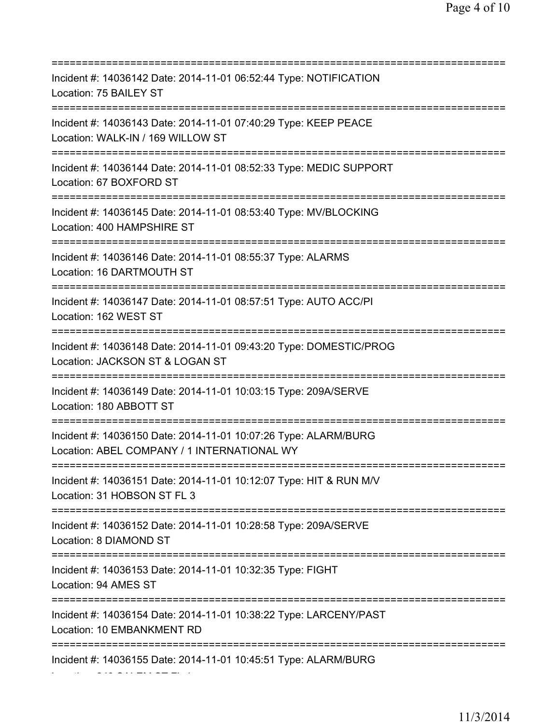=========================================================================== Incident #: 14036142 Date: 2014-11-01 06:52:44 Type: NOTIFICATION Location: 75 BAILEY ST =========================================================================== Incident #: 14036143 Date: 2014-11-01 07:40:29 Type: KEEP PEACE Location: WALK-IN / 169 WILLOW ST =========================================================================== Incident #: 14036144 Date: 2014-11-01 08:52:33 Type: MEDIC SUPPORT Location: 67 BOXFORD ST =========================================================================== Incident #: 14036145 Date: 2014-11-01 08:53:40 Type: MV/BLOCKING Location: 400 HAMPSHIRE ST =========================================================================== Incident #: 14036146 Date: 2014-11-01 08:55:37 Type: ALARMS Location: 16 DARTMOUTH ST =========================================================================== Incident #: 14036147 Date: 2014-11-01 08:57:51 Type: AUTO ACC/PI Location: 162 WEST ST =========================================================================== Incident #: 14036148 Date: 2014-11-01 09:43:20 Type: DOMESTIC/PROG Location: JACKSON ST & LOGAN ST =========================================================================== Incident #: 14036149 Date: 2014-11-01 10:03:15 Type: 209A/SERVE Location: 180 ABBOTT ST =========================================================================== Incident #: 14036150 Date: 2014-11-01 10:07:26 Type: ALARM/BURG Location: ABEL COMPANY / 1 INTERNATIONAL WY =========================================================================== Incident #: 14036151 Date: 2014-11-01 10:12:07 Type: HIT & RUN M/V Location: 31 HOBSON ST FL 3 =========================================================================== Incident #: 14036152 Date: 2014-11-01 10:28:58 Type: 209A/SERVE Location: 8 DIAMOND ST =========================================================================== Incident #: 14036153 Date: 2014-11-01 10:32:35 Type: FIGHT Location: 94 AMES ST =========================================================================== Incident #: 14036154 Date: 2014-11-01 10:38:22 Type: LARCENY/PAST Location: 10 EMBANKMENT RD =========================================================================== Incident #: 14036155 Date: 2014-11-01 10:45:51 Type: ALARM/BURG

Location: 243 SALEM ST FL 1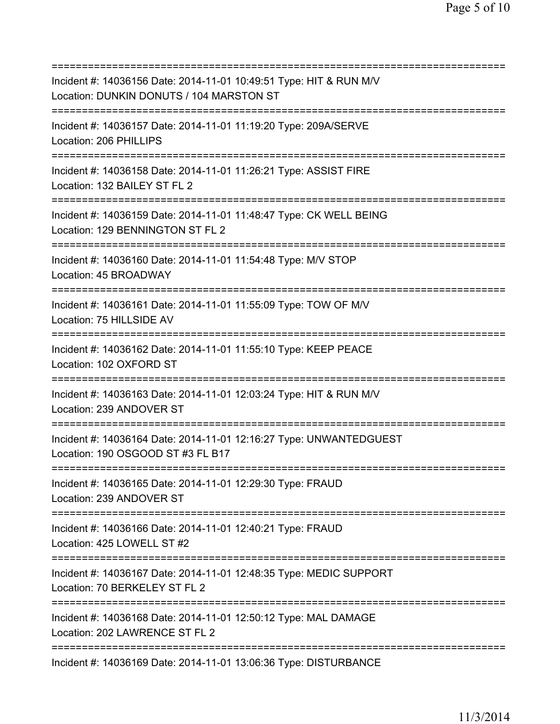=========================================================================== Incident #: 14036156 Date: 2014-11-01 10:49:51 Type: HIT & RUN M/V Location: DUNKIN DONUTS / 104 MARSTON ST =========================================================================== Incident #: 14036157 Date: 2014-11-01 11:19:20 Type: 209A/SERVE Location: 206 PHILLIPS =========================================================================== Incident #: 14036158 Date: 2014-11-01 11:26:21 Type: ASSIST FIRE Location: 132 BAILEY ST FL 2 =========================================================================== Incident #: 14036159 Date: 2014-11-01 11:48:47 Type: CK WELL BEING Location: 129 BENNINGTON ST FL 2 =========================================================================== Incident #: 14036160 Date: 2014-11-01 11:54:48 Type: M/V STOP Location: 45 BROADWAY =========================================================================== Incident #: 14036161 Date: 2014-11-01 11:55:09 Type: TOW OF M/V Location: 75 HILLSIDE AV =========================================================================== Incident #: 14036162 Date: 2014-11-01 11:55:10 Type: KEEP PEACE Location: 102 OXFORD ST =========================================================================== Incident #: 14036163 Date: 2014-11-01 12:03:24 Type: HIT & RUN M/V Location: 239 ANDOVER ST =========================================================================== Incident #: 14036164 Date: 2014-11-01 12:16:27 Type: UNWANTEDGUEST Location: 190 OSGOOD ST #3 FL B17 =========================================================================== Incident #: 14036165 Date: 2014-11-01 12:29:30 Type: FRAUD Location: 239 ANDOVER ST =========================================================================== Incident #: 14036166 Date: 2014-11-01 12:40:21 Type: FRAUD Location: 425 LOWELL ST #2 =========================================================================== Incident #: 14036167 Date: 2014-11-01 12:48:35 Type: MEDIC SUPPORT Location: 70 BERKELEY ST FL 2 =========================================================================== Incident #: 14036168 Date: 2014-11-01 12:50:12 Type: MAL DAMAGE Location: 202 LAWRENCE ST FL 2 =========================================================================== Incident #: 14036169 Date: 2014-11-01 13:06:36 Type: DISTURBANCE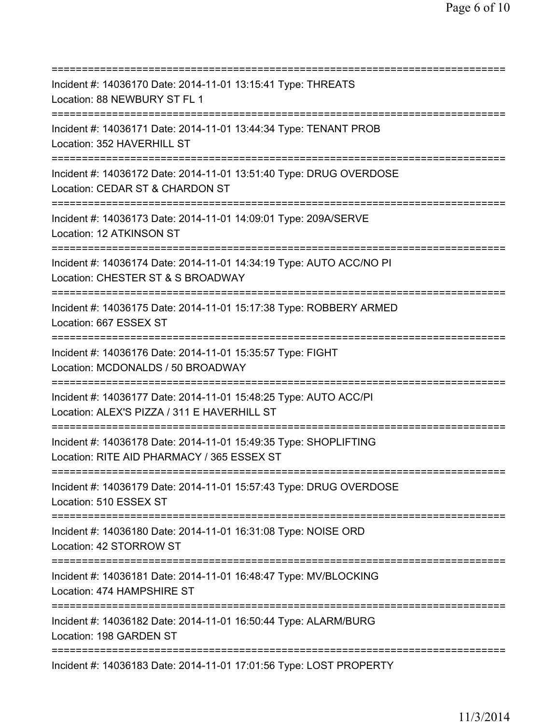| Incident #: 14036170 Date: 2014-11-01 13:15:41 Type: THREATS<br>Location: 88 NEWBURY ST FL 1                                            |
|-----------------------------------------------------------------------------------------------------------------------------------------|
| Incident #: 14036171 Date: 2014-11-01 13:44:34 Type: TENANT PROB<br>Location: 352 HAVERHILL ST                                          |
| Incident #: 14036172 Date: 2014-11-01 13:51:40 Type: DRUG OVERDOSE<br>Location: CEDAR ST & CHARDON ST                                   |
| Incident #: 14036173 Date: 2014-11-01 14:09:01 Type: 209A/SERVE<br>Location: 12 ATKINSON ST                                             |
| Incident #: 14036174 Date: 2014-11-01 14:34:19 Type: AUTO ACC/NO PI<br>Location: CHESTER ST & S BROADWAY<br>=========================== |
| Incident #: 14036175 Date: 2014-11-01 15:17:38 Type: ROBBERY ARMED<br>Location: 667 ESSEX ST<br>.==================================     |
| Incident #: 14036176 Date: 2014-11-01 15:35:57 Type: FIGHT<br>Location: MCDONALDS / 50 BROADWAY<br>:===========                         |
| Incident #: 14036177 Date: 2014-11-01 15:48:25 Type: AUTO ACC/PI<br>Location: ALEX'S PIZZA / 311 E HAVERHILL ST                         |
| Incident #: 14036178 Date: 2014-11-01 15:49:35 Type: SHOPLIFTING<br>Location: RITE AID PHARMACY / 365 ESSEX ST                          |
| Incident #: 14036179 Date: 2014-11-01 15:57:43 Type: DRUG OVERDOSE<br>Location: 510 ESSEX ST                                            |
| Incident #: 14036180 Date: 2014-11-01 16:31:08 Type: NOISE ORD<br>Location: 42 STORROW ST                                               |
| Incident #: 14036181 Date: 2014-11-01 16:48:47 Type: MV/BLOCKING<br>Location: 474 HAMPSHIRE ST                                          |
| Incident #: 14036182 Date: 2014-11-01 16:50:44 Type: ALARM/BURG<br>Location: 198 GARDEN ST                                              |
| ===========<br>Incident #: 14036183 Date: 2014-11-01 17:01:56 Type: LOST PROPERTY                                                       |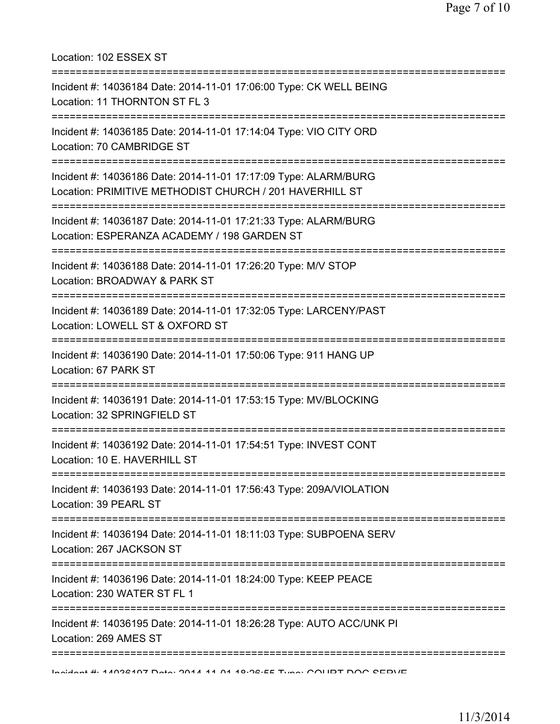Location: 102 ESSEX ST =========================================================================== Incident #: 14036184 Date: 2014-11-01 17:06:00 Type: CK WELL BEING Location: 11 THORNTON ST FL 3 =========================================================================== Incident #: 14036185 Date: 2014-11-01 17:14:04 Type: VIO CITY ORD Location: 70 CAMBRIDGE ST =========================================================================== Incident #: 14036186 Date: 2014-11-01 17:17:09 Type: ALARM/BURG Location: PRIMITIVE METHODIST CHURCH / 201 HAVERHILL ST =========================================================================== Incident #: 14036187 Date: 2014-11-01 17:21:33 Type: ALARM/BURG Location: ESPERANZA ACADEMY / 198 GARDEN ST =========================================================================== Incident #: 14036188 Date: 2014-11-01 17:26:20 Type: M/V STOP Location: BROADWAY & PARK ST =========================================================================== Incident #: 14036189 Date: 2014-11-01 17:32:05 Type: LARCENY/PAST Location: LOWELL ST & OXFORD ST =========================================================================== Incident #: 14036190 Date: 2014-11-01 17:50:06 Type: 911 HANG UP Location: 67 PARK ST =========================================================================== Incident #: 14036191 Date: 2014-11-01 17:53:15 Type: MV/BLOCKING Location: 32 SPRINGFIELD ST =========================================================================== Incident #: 14036192 Date: 2014-11-01 17:54:51 Type: INVEST CONT Location: 10 E. HAVERHILL ST =========================================================================== Incident #: 14036193 Date: 2014-11-01 17:56:43 Type: 209A/VIOLATION Location: 39 PEARL ST =========================================================================== Incident #: 14036194 Date: 2014-11-01 18:11:03 Type: SUBPOENA SERV Location: 267 JACKSON ST =========================================================================== Incident #: 14036196 Date: 2014-11-01 18:24:00 Type: KEEP PEACE Location: 230 WATER ST FL 1 =========================================================================== Incident #: 14036195 Date: 2014-11-01 18:26:28 Type: AUTO ACC/UNK PI Location: 269 AMES ST =========================================================================== Incident #: 14036197 Date: 2014 11 01 18:26:55 Type: COURT DOC SERVE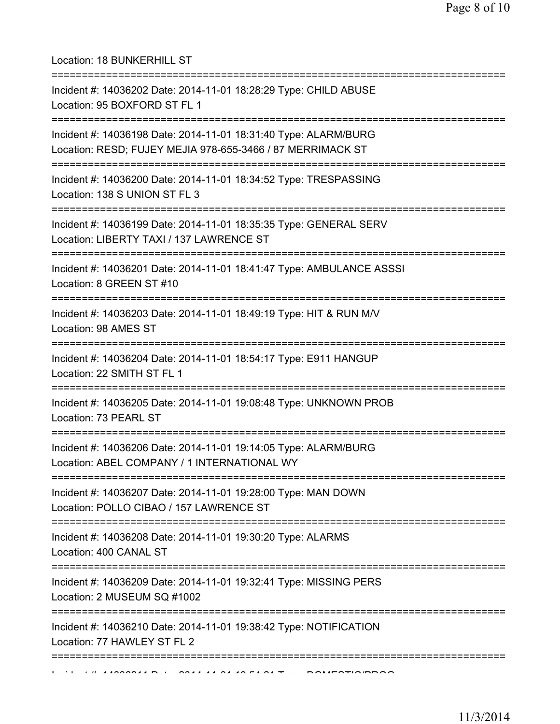Location: 18 BUNKERHILL ST

| -------------------------------------<br>Incident #: 14036202 Date: 2014-11-01 18:28:29 Type: CHILD ABUSE<br>Location: 95 BOXFORD ST FL 1 |
|-------------------------------------------------------------------------------------------------------------------------------------------|
| Incident #: 14036198 Date: 2014-11-01 18:31:40 Type: ALARM/BURG<br>Location: RESD; FUJEY MEJIA 978-655-3466 / 87 MERRIMACK ST             |
| Incident #: 14036200 Date: 2014-11-01 18:34:52 Type: TRESPASSING<br>Location: 138 S UNION ST FL 3                                         |
| Incident #: 14036199 Date: 2014-11-01 18:35:35 Type: GENERAL SERV<br>Location: LIBERTY TAXI / 137 LAWRENCE ST                             |
| Incident #: 14036201 Date: 2014-11-01 18:41:47 Type: AMBULANCE ASSSI<br>Location: 8 GREEN ST #10                                          |
| Incident #: 14036203 Date: 2014-11-01 18:49:19 Type: HIT & RUN M/V<br>Location: 98 AMES ST                                                |
| ==========================<br>Incident #: 14036204 Date: 2014-11-01 18:54:17 Type: E911 HANGUP<br>Location: 22 SMITH ST FL 1              |
| Incident #: 14036205 Date: 2014-11-01 19:08:48 Type: UNKNOWN PROB<br>Location: 73 PEARL ST                                                |
| Incident #: 14036206 Date: 2014-11-01 19:14:05 Type: ALARM/BURG<br>Location: ABEL COMPANY / 1 INTERNATIONAL WY                            |
| Incident #: 14036207 Date: 2014-11-01 19:28:00 Type: MAN DOWN<br>Location: POLLO CIBAO / 157 LAWRENCE ST                                  |
| ======================================<br>Incident #: 14036208 Date: 2014-11-01 19:30:20 Type: ALARMS<br>Location: 400 CANAL ST           |
| Incident #: 14036209 Date: 2014-11-01 19:32:41 Type: MISSING PERS<br>Location: 2 MUSEUM SQ #1002                                          |
| Incident #: 14036210 Date: 2014-11-01 19:38:42 Type: NOTIFICATION<br>Location: 77 HAWLEY ST FL 2                                          |
|                                                                                                                                           |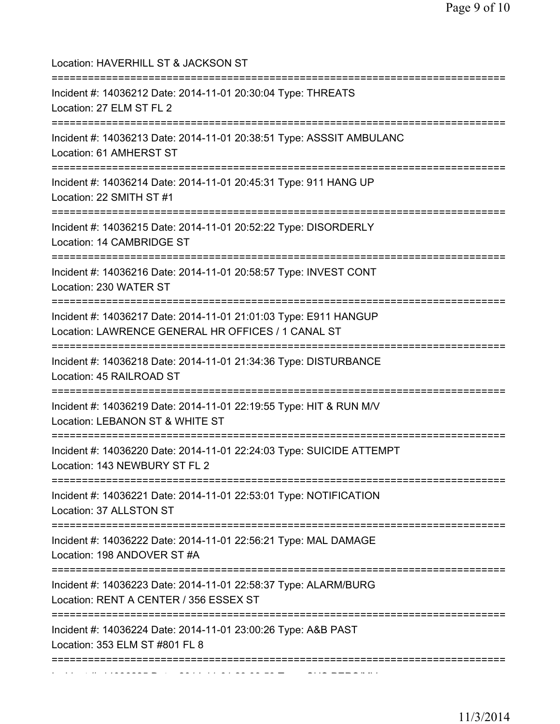| Location: HAVERHILL ST & JACKSON ST<br>===================================                                                    |
|-------------------------------------------------------------------------------------------------------------------------------|
| Incident #: 14036212 Date: 2014-11-01 20:30:04 Type: THREATS<br>Location: 27 ELM ST FL 2<br>================================= |
| Incident #: 14036213 Date: 2014-11-01 20:38:51 Type: ASSSIT AMBULANC<br>Location: 61 AMHERST ST                               |
| Incident #: 14036214 Date: 2014-11-01 20:45:31 Type: 911 HANG UP<br>Location: 22 SMITH ST #1                                  |
| Incident #: 14036215 Date: 2014-11-01 20:52:22 Type: DISORDERLY<br>Location: 14 CAMBRIDGE ST                                  |
| Incident #: 14036216 Date: 2014-11-01 20:58:57 Type: INVEST CONT<br>Location: 230 WATER ST                                    |
| Incident #: 14036217 Date: 2014-11-01 21:01:03 Type: E911 HANGUP<br>Location: LAWRENCE GENERAL HR OFFICES / 1 CANAL ST        |
| Incident #: 14036218 Date: 2014-11-01 21:34:36 Type: DISTURBANCE<br>Location: 45 RAILROAD ST                                  |
| Incident #: 14036219 Date: 2014-11-01 22:19:55 Type: HIT & RUN M/V<br>Location: LEBANON ST & WHITE ST                         |
| Incident #: 14036220 Date: 2014-11-01 22:24:03 Type: SUICIDE ATTEMPT<br>Location: 143 NEWBURY ST FL 2                         |
| :===================<br>Incident #: 14036221 Date: 2014-11-01 22:53:01 Type: NOTIFICATION<br>Location: 37 ALLSTON ST          |
| Incident #: 14036222 Date: 2014-11-01 22:56:21 Type: MAL DAMAGE<br>Location: 198 ANDOVER ST #A                                |
| Incident #: 14036223 Date: 2014-11-01 22:58:37 Type: ALARM/BURG<br>Location: RENT A CENTER / 356 ESSEX ST                     |
| Incident #: 14036224 Date: 2014-11-01 23:00:26 Type: A&B PAST<br>Location: 353 ELM ST #801 FL 8                               |
|                                                                                                                               |